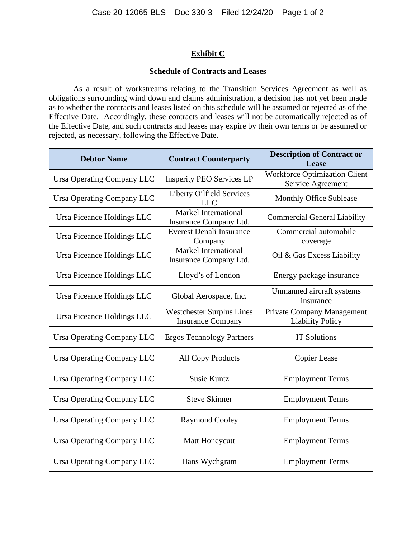## **Exhibit C**

## **Schedule of Contracts and Leases**

As a result of workstreams relating to the Transition Services Agreement as well as obligations surrounding wind down and claims administration, a decision has not yet been made as to whether the contracts and leases listed on this schedule will be assumed or rejected as of the Effective Date. Accordingly, these contracts and leases will not be automatically rejected as of the Effective Date, and such contracts and leases may expire by their own terms or be assumed or rejected, as necessary, following the Effective Date.

| <b>Debtor Name</b>                | <b>Contract Counterparty</b>                                 | <b>Description of Contract or</b><br>Lease                   |
|-----------------------------------|--------------------------------------------------------------|--------------------------------------------------------------|
| Ursa Operating Company LLC        | <b>Insperity PEO Services LP</b>                             | <b>Workforce Optimization Client</b><br>Service Agreement    |
| Ursa Operating Company LLC        | <b>Liberty Oilfield Services</b><br><b>LLC</b>               | <b>Monthly Office Sublease</b>                               |
| Ursa Piceance Holdings LLC        | Markel International<br>Insurance Company Ltd.               | <b>Commercial General Liability</b>                          |
| Ursa Piceance Holdings LLC        | <b>Everest Denali Insurance</b><br>Company                   | Commercial automobile<br>coverage                            |
| Ursa Piceance Holdings LLC        | Markel International<br>Insurance Company Ltd.               | Oil & Gas Excess Liability                                   |
| Ursa Piceance Holdings LLC        | Lloyd's of London                                            | Energy package insurance                                     |
| Ursa Piceance Holdings LLC        | Global Aerospace, Inc.                                       | Unmanned aircraft systems<br>insurance                       |
| Ursa Piceance Holdings LLC        | <b>Westchester Surplus Lines</b><br><b>Insurance Company</b> | <b>Private Company Management</b><br><b>Liability Policy</b> |
| <b>Ursa Operating Company LLC</b> | <b>Ergos Technology Partners</b>                             | <b>IT Solutions</b>                                          |
| <b>Ursa Operating Company LLC</b> | <b>All Copy Products</b>                                     | Copier Lease                                                 |
| <b>Ursa Operating Company LLC</b> | <b>Susie Kuntz</b>                                           | <b>Employment Terms</b>                                      |
| <b>Ursa Operating Company LLC</b> | <b>Steve Skinner</b>                                         | <b>Employment Terms</b>                                      |
| <b>Ursa Operating Company LLC</b> | <b>Raymond Cooley</b>                                        | <b>Employment Terms</b>                                      |
| Ursa Operating Company LLC        | Matt Honeycutt                                               | <b>Employment Terms</b>                                      |
| Ursa Operating Company LLC        | Hans Wychgram                                                | <b>Employment Terms</b>                                      |